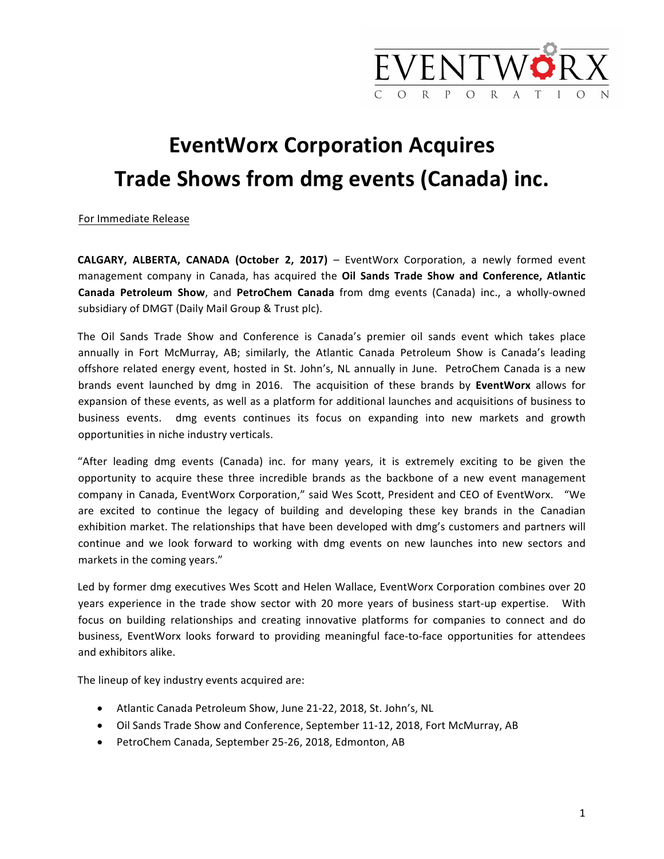

## **EventWorx Corporation Acquires** Trade Shows from dmg events (Canada) inc.

For Immediate Release

**CALGARY, ALBERTA, CANADA (October 2, 2017)** – EventWorx Corporation, a newly formed event management company in Canada, has acquired the **Oil Sands Trade Show and Conference, Atlantic Canada Petroleum Show**, and PetroChem Canada from dmg events (Canada) inc., a wholly-owned subsidiary of DMGT (Daily Mail Group & Trust plc).

The Oil Sands Trade Show and Conference is Canada's premier oil sands event which takes place annually in Fort McMurray, AB; similarly, the Atlantic Canada Petroleum Show is Canada's leading offshore related energy event, hosted in St. John's, NL annually in June. PetroChem Canada is a new brands event launched by dmg in 2016. The acquisition of these brands by **EventWorx** allows for expansion of these events, as well as a platform for additional launches and acquisitions of business to business events. dmg events continues its focus on expanding into new markets and growth opportunities in niche industry verticals.

"After leading dmg events (Canada) inc. for many years, it is extremely exciting to be given the opportunity to acquire these three incredible brands as the backbone of a new event management company in Canada, EventWorx Corporation," said Wes Scott, President and CEO of EventWorx. "We are excited to continue the legacy of building and developing these key brands in the Canadian exhibition market. The relationships that have been developed with dmg's customers and partners will continue and we look forward to working with dmg events on new launches into new sectors and markets in the coming years."

Led by former dmg executives Wes Scott and Helen Wallace, EventWorx Corporation combines over 20 years experience in the trade show sector with 20 more years of business start-up expertise. With focus on building relationships and creating innovative platforms for companies to connect and do business, EventWorx looks forward to providing meaningful face-to-face opportunities for attendees and exhibitors alike.

The lineup of key industry events acquired are:

- Atlantic Canada Petroleum Show, June 21-22, 2018, St. John's, NL
- Oil Sands Trade Show and Conference, September 11-12, 2018, Fort McMurray, AB
- PetroChem Canada, September 25-26, 2018, Edmonton, AB